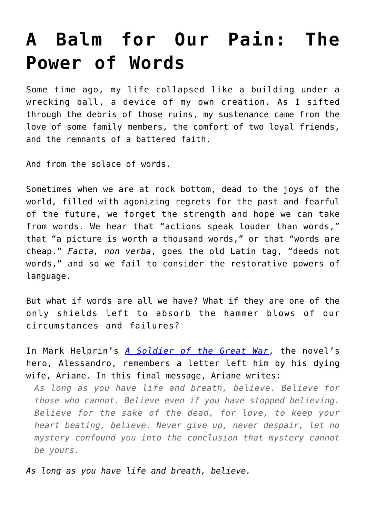## **[A Balm for Our Pain: The](https://intellectualtakeout.org/2019/06/a-balm-for-our-pain-the-power-of-words/) [Power of Words](https://intellectualtakeout.org/2019/06/a-balm-for-our-pain-the-power-of-words/)**

Some time ago, my life collapsed like a building under a wrecking ball, a device of my own creation. As I sifted through the debris of those ruins, my sustenance came from the love of some family members, the comfort of two loyal friends, and the remnants of a battered faith.

And from the solace of words.

Sometimes when we are at rock bottom, dead to the joys of the world, filled with agonizing regrets for the past and fearful of the future, we forget the strength and hope we can take from words. We hear that "actions speak louder than words," that "a picture is worth a thousand words," or that "words are cheap." *Facta, non verba*, goes the old Latin tag, "deeds not words," and so we fail to consider the restorative powers of language.

But what if words are all we have? What if they are one of the only shields left to absorb the hammer blows of our circumstances and failures?

In Mark Helprin's *[A Soldier of the Great War](https://www.amazon.com/gp/product/0156031132/ref=as_li_qf_asin_il_tl?ie=UTF8&tag=intelltakeo0d-20&creative=9325&linkCode=as2&creativeASIN=0156031132&linkId=31365f751a440225894986d7cf13fdbe)*, the novel's hero, Alessandro, remembers a letter left him by his dying wife, Ariane. In this final message, Ariane writes:

*As long as you have life and breath, believe. Believe for those who cannot. Believe even if you have stopped believing. Believe for the sake of the dead, for love, to keep your heart beating, believe. Never give up, never despair, let no mystery confound you into the conclusion that mystery cannot be yours.*

*As long as you have life and breath, believe.*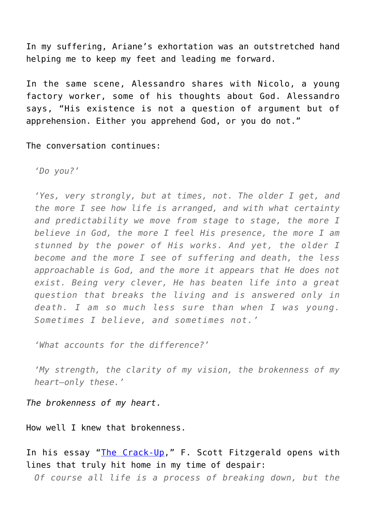In my suffering, Ariane's exhortation was an outstretched hand helping me to keep my feet and leading me forward.

In the same scene, Alessandro shares with Nicolo, a young factory worker, some of his thoughts about God. Alessandro says, "His existence is not a question of argument but of apprehension. Either you apprehend God, or you do not."

The conversation continues:

*'Do you?'*

*'Yes, very strongly, but at times, not. The older I get, and the more I see how life is arranged, and with what certainty and predictability we move from stage to stage, the more I believe in God, the more I feel His presence, the more I am stunned by the power of His works. And yet, the older I become and the more I see of suffering and death, the less approachable is God, and the more it appears that He does not exist. Being very clever, He has beaten life into a great question that breaks the living and is answered only in death. I am so much less sure than when I was young. Sometimes I believe, and sometimes not.'*

*'What accounts for the difference?'*

*'My strength, the clarity of my vision, the brokenness of my heart—only these.'*

*The brokenness of my heart*.

How well I knew that brokenness.

In his essay "[The Crack-Up,](https://www.esquire.com/lifestyle/a4310/the-crack-up/)" F. Scott Fitzgerald opens with lines that truly hit home in my time of despair:

*Of course all life is a process of breaking down, but the*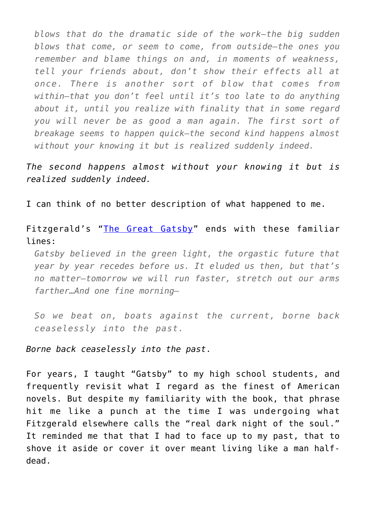*blows that do the dramatic side of the work—the big sudden blows that come, or seem to come, from outside—the ones you remember and blame things on and, in moments of weakness, tell your friends about, don't show their effects all at once. There is another sort of blow that comes from within—that you don't feel until it's too late to do anything about it, until you realize with finality that in some regard you will never be as good a man again. The first sort of breakage seems to happen quick—the second kind happens almost without your knowing it but is realized suddenly indeed.*

*The second happens almost without your knowing it but is realized suddenly indeed.*

I can think of no better description of what happened to me.

Fitzgerald's "[The Great Gatsby](https://www.amazon.com/gp/product/0743273567/ref=as_li_qf_asin_il_tl?ie=UTF8&tag=intelltakeo0d-20&creative=9325&linkCode=as2&creativeASIN=0743273567&linkId=b9be15a6a3c84179e95f7cf5c5ccc464)" ends with these familiar lines:

*Gatsby believed in the green light, the orgastic future that year by year recedes before us. It eluded us then, but that's no matter—tomorrow we will run faster, stretch out our arms farther…And one fine morning—*

*So we beat on, boats against the current, borne back ceaselessly into the past.*

*Borne back ceaselessly into the past*.

For years, I taught "Gatsby" to my high school students, and frequently revisit what I regard as the finest of American novels. But despite my familiarity with the book, that phrase hit me like a punch at the time I was undergoing what Fitzgerald elsewhere calls the "real dark night of the soul." It reminded me that that I had to face up to my past, that to shove it aside or cover it over meant living like a man halfdead.